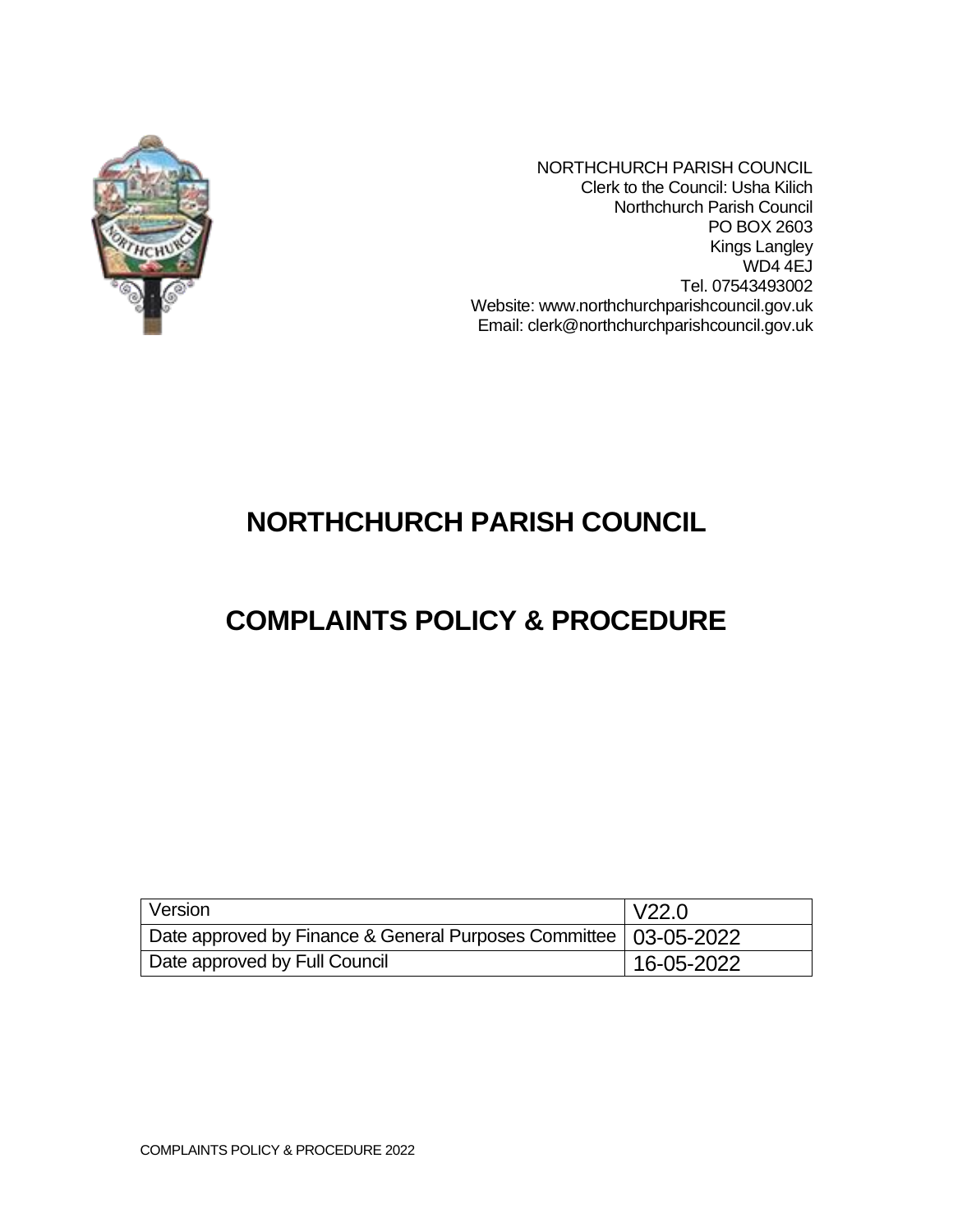

NORTHCHURCH PARISH COUNCIL Clerk to the Council: Usha Kilich Northchurch Parish Council PO BOX 2603 Kings Langley WD4 4EJ Tel. 07543493002 Website: www.northchurchparishcouncil.gov.uk Email: clerk@northchurchparishcouncil.gov.uk

# **NORTHCHURCH PARISH COUNCIL**

# **COMPLAINTS POLICY & PROCEDURE**

| Version                                                            | V22.0      |
|--------------------------------------------------------------------|------------|
| Date approved by Finance & General Purposes Committee   03-05-2022 |            |
| Date approved by Full Council                                      | 16-05-2022 |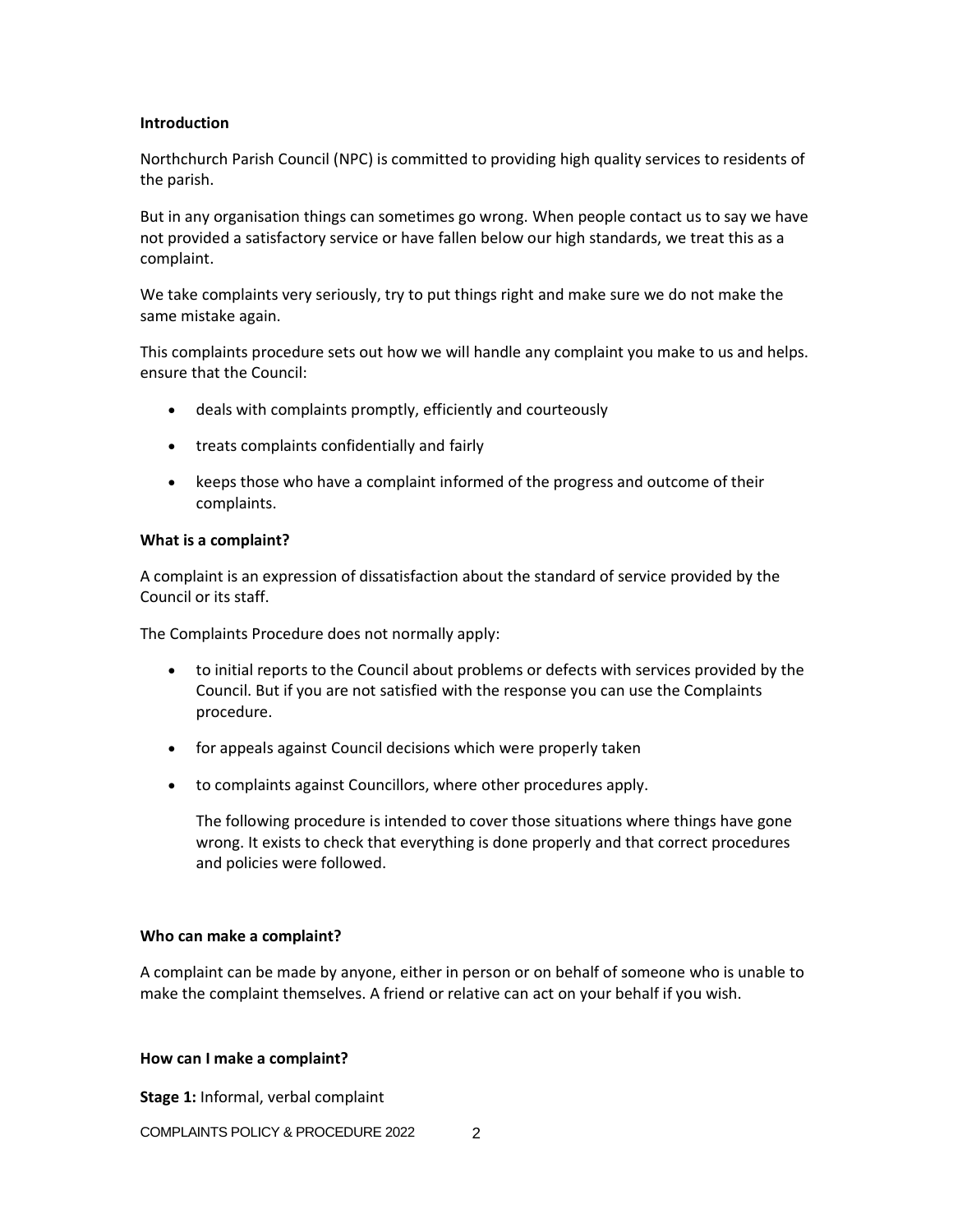### **Introduction**

Northchurch Parish Council (NPC) is committed to providing high quality services to residents of the parish.

But in any organisation things can sometimes go wrong. When people contact us to say we have not provided a satisfactory service or have fallen below our high standards, we treat this as a complaint.

We take complaints very seriously, try to put things right and make sure we do not make the same mistake again.

This complaints procedure sets out how we will handle any complaint you make to us and helps. ensure that the Council:

- deals with complaints promptly, efficiently and courteously
- treats complaints confidentially and fairly
- keeps those who have a complaint informed of the progress and outcome of their complaints.

#### **What is a complaint?**

A complaint is an expression of dissatisfaction about the standard of service provided by the Council or its staff.

The Complaints Procedure does not normally apply:

- to initial reports to the Council about problems or defects with services provided by the Council. But if you are not satisfied with the response you can use the Complaints procedure.
- for appeals against Council decisions which were properly taken
- to complaints against Councillors, where other procedures apply.

The following procedure is intended to cover those situations where things have gone wrong. It exists to check that everything is done properly and that correct procedures and policies were followed.

#### **Who can make a complaint?**

A complaint can be made by anyone, either in person or on behalf of someone who is unable to make the complaint themselves. A friend or relative can act on your behalf if you wish.

#### **How can I make a complaint?**

**Stage 1:** Informal, verbal complaint

COMPLAINTS POLICY & PROCEDURE 2022 2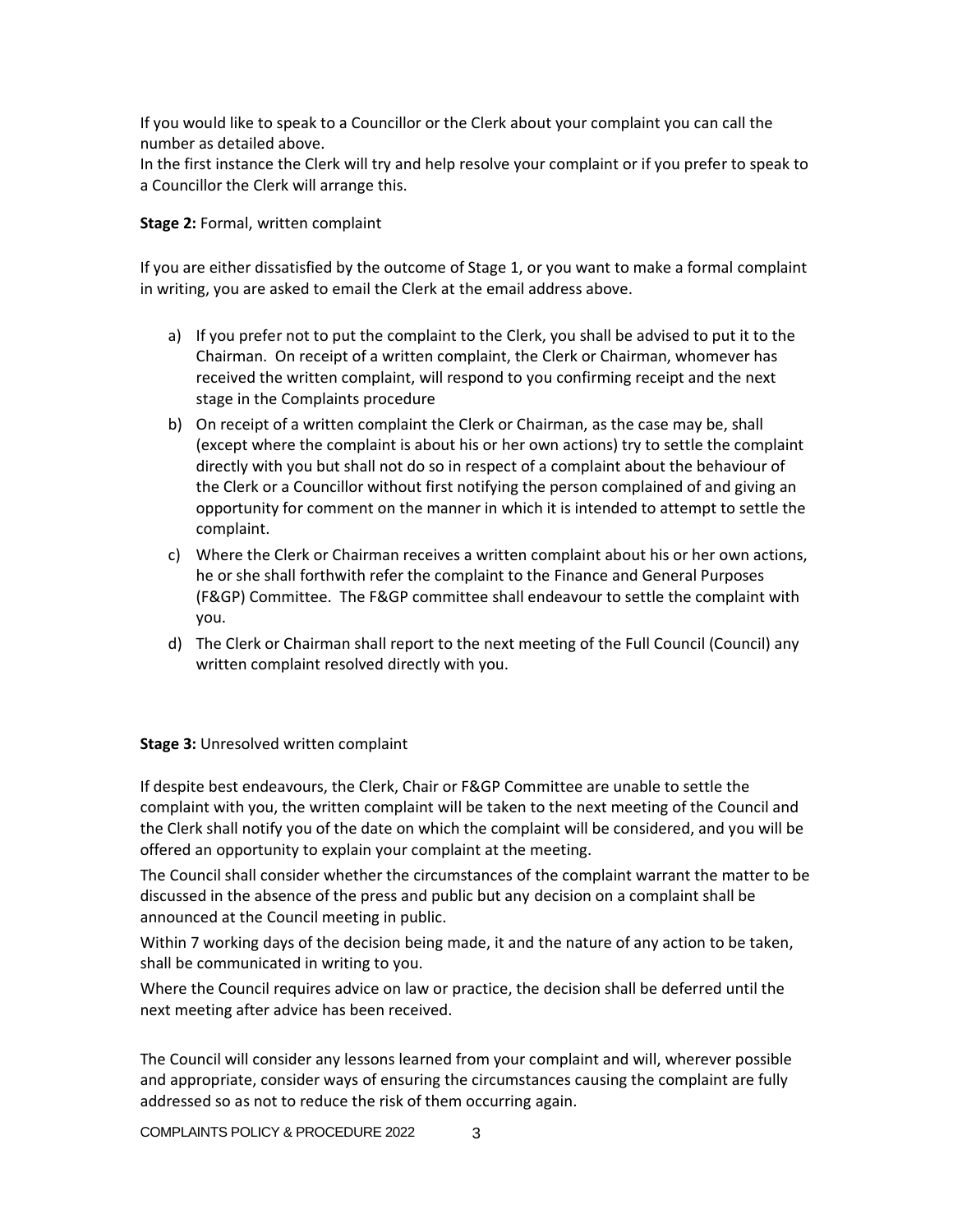If you would like to speak to a Councillor or the Clerk about your complaint you can call the number as detailed above.

In the first instance the Clerk will try and help resolve your complaint or if you prefer to speak to a Councillor the Clerk will arrange this.

**Stage 2:** Formal, written complaint

If you are either dissatisfied by the outcome of Stage 1, or you want to make a formal complaint in writing, you are asked to email the Clerk at the email address above.

- a) If you prefer not to put the complaint to the Clerk, you shall be advised to put it to the Chairman. On receipt of a written complaint, the Clerk or Chairman, whomever has received the written complaint, will respond to you confirming receipt and the next stage in the Complaints procedure
- b) On receipt of a written complaint the Clerk or Chairman, as the case may be, shall (except where the complaint is about his or her own actions) try to settle the complaint directly with you but shall not do so in respect of a complaint about the behaviour of the Clerk or a Councillor without first notifying the person complained of and giving an opportunity for comment on the manner in which it is intended to attempt to settle the complaint.
- c) Where the Clerk or Chairman receives a written complaint about his or her own actions, he or she shall forthwith refer the complaint to the Finance and General Purposes (F&GP) Committee. The F&GP committee shall endeavour to settle the complaint with you.
- d) The Clerk or Chairman shall report to the next meeting of the Full Council (Council) any written complaint resolved directly with you.

## **Stage 3:** Unresolved written complaint

If despite best endeavours, the Clerk, Chair or F&GP Committee are unable to settle the complaint with you, the written complaint will be taken to the next meeting of the Council and the Clerk shall notify you of the date on which the complaint will be considered, and you will be offered an opportunity to explain your complaint at the meeting.

The Council shall consider whether the circumstances of the complaint warrant the matter to be discussed in the absence of the press and public but any decision on a complaint shall be announced at the Council meeting in public.

Within 7 working days of the decision being made, it and the nature of any action to be taken, shall be communicated in writing to you.

Where the Council requires advice on law or practice, the decision shall be deferred until the next meeting after advice has been received.

The Council will consider any lessons learned from your complaint and will, wherever possible and appropriate, consider ways of ensuring the circumstances causing the complaint are fully addressed so as not to reduce the risk of them occurring again.